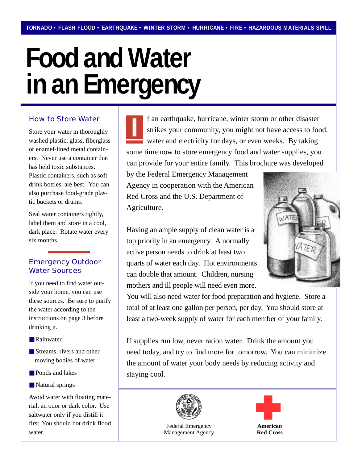# **Food and Water in an Emergency**

#### How to Store Water

Store your water in thoroughly washed plastic, glass, fiberglass or enamel-lined metal containers. Never use a container that has held toxic substances. Plastic containers, such as soft drink bottles, are best. You can also purchase food-grade plastic buckets or drums.

Seal water containers tightly, label them and store in a cool, dark place. Rotate water every six months.

#### **Emergency Outdoor Water Sources**

If you need to find water outside your home, you can use these sources. Be sure to purify the water according to the instructions on page 3 before drinking it.

- Rainwater
- Streams, rivers and other moving bodies of water
- Ponds and lakes
- Natural springs

Avoid water with floating material, an odor or dark color. Use saltwater only if you distill it first. You should not drink flood water.

f an earthquake, hurricane, winter storm or other disaster strikes your community, you might not have access to food, water and electricity for days, or even weeks. By taking some time now to store emergency food and water supplies, you can provide for your entire family. This brochure was developed **I**

by the Federal Emergency Management Agency in cooperation with the American Red Cross and the U.S. Department of Agriculture.

Having an ample supply of clean water is a top priority in an emergency. A normally active person needs to drink at least two quarts of water each day. Hot environments can double that amount. Children, nursing mothers and ill people will need even more.



You will also need water for food preparation and hygiene. Store a total of at least one gallon per person, per day. You should store at least a two-week supply of water for each member of your family.

If supplies run low, never ration water. Drink the amount you need today, and try to find more for tomorrow. You can minimize the amount of water your body needs by reducing activity and staying cool.



Federal Emergency **American Management Agency** 

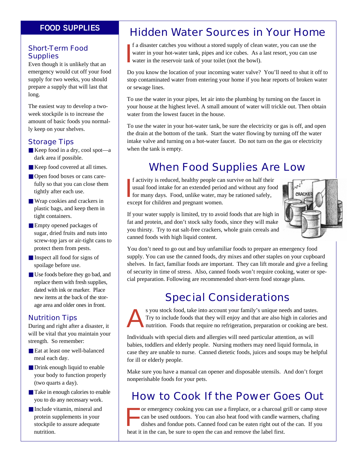#### **Short-Term Food Supplies**

Even though it is unlikely that an emergency would cut off your food supply for two weeks, you should prepare a supply that will last that long.

The easiest way to develop a twoweek stockpile is to increase the amount of basic foods you normally keep on your shelves.

#### **Storage Tips**

- Keep food in a dry, cool spot—a dark area if possible.
- Keep food covered at all times.
- Open food boxes or cans carefully so that you can close them tightly after each use.
- Wrap cookies and crackers in plastic bags, and keep them in tight containers.
- Empty opened packages of sugar, dried fruits and nuts into screw-top jars or air-tight cans to protect them from pests.
- Inspect all food for signs of spoilage before use.
- Use foods before they go bad, and replace them with fresh supplies, dated with ink or marker. Place new items at the back of the storage area and older ones in front.

#### **Nutrition Tips**

During and right after a disaster, it will be vital that you maintain your strength. So remember:

- Eat at least one well-balanced meal each day.
- Drink enough liquid to enable your body to function properly (two quarts a day).
- Take in enough calories to enable you to do any necessary work.
- Include vitamin, mineral and protein supplements in your stockpile to assure adequate nutrition.

## **FOOD SUPPLIES** Hidden Water Sources in Your Home

I f a disaster catches you without a stored supply of clean water, you can use the water in your hot-water tank, pipes and ice cubes. As a last resort, you can use water in the reservoir tank of your toilet (not the bowl).

Do you know the location of your incoming water valve? You'll need to shut it off to stop contaminated water from entering your home if you hear reports of broken water or sewage lines.

To use the water in your pipes, let air into the plumbing by turning on the faucet in your house at the highest level. A small amount of water will trickle out. Then obtain water from the lowest faucet in the house.

To use the water in your hot-water tank, be sure the electricity or gas is off, and open the drain at the bottom of the tank. Start the water flowing by turning off the water intake valve and turning on a hot-water faucet. Do not turn on the gas or electricity when the tank is empty.

## When Food Supplies Are Low

I f activity is reduced, healthy people can survive on half their usual food intake for an extended period and without any food for many days. Food, unlike water, may be rationed safely, except for children and pregnant women.



If your water supply is limited, try to avoid foods that are high in fat and protein, and don't stock salty foods, since they will make you thirsty. Try to eat salt-free crackers, whole grain cereals and canned foods with high liquid content.

You don't need to go out and buy unfamiliar foods to prepare an emergency food supply. You can use the canned foods, dry mixes and other staples on your cupboard shelves. In fact, familiar foods are important. They can lift morale and give a feeling of security in time of stress. Also, canned foods won't require cooking, water or special preparation. Following are recommended short-term food storage plans.

## Special Considerations

A s you stock food, take into account your family's unique needs and tastes. Try to include foods that they will enjoy and that are also high in calories and nutrition. Foods that require no refrigeration, preparation or cooking are best.

Individuals with special diets and allergies will need particular attention, as will babies, toddlers and elderly people. Nursing mothers may need liquid formula, in case they are unable to nurse. Canned dietetic foods, juices and soups may be helpful for ill or elderly people.

Make sure you have a manual can opener and disposable utensils. And don't forget nonperishable foods for your pets.

## How to Cook If the Power Goes Out

F or emergency cooking you can use a fireplace, or a charcoal grill or camp stove • can be used outdoors. You can also heat food with candle warmers, chafing dishes and fondue pots. Canned food can be eaten right out of the can. If you heat it in the can, be sure to open the can and remove the label first.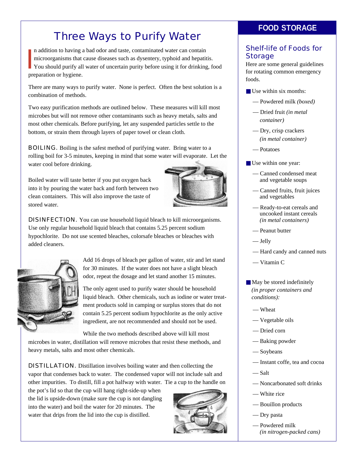## **Three Ways to Purify Water**

I n addition to having a bad odor and taste, contaminated water can contain microorganisms that cause diseases such as dysentery, typhoid and hepatitis. You should purify all water of uncertain purity before using it for drinking, food preparation or hygiene.

There are many ways to purify water. None is perfect. Often the best solution is a combination of methods.

Two easy purification methods are outlined below. These measures will kill most microbes but will not remove other contaminants such as heavy metals, salts and most other chemicals. Before purifying, let any suspended particles settle to the bottom, or strain them through layers of paper towel or clean cloth.

BOILING. Boiling is the safest method of purifying water. Bring water to a rolling boil for 3-5 minutes, keeping in mind that some water will evaporate. Let the water cool before drinking.

Boiled water will taste better if you put oxygen back into it by pouring the water back and forth between two clean containers. This will also improve the taste of stored water.



DISINFECTION. You can use household liquid bleach to kill microorganisms. Use only regular household liquid bleach that contains 5.25 percent sodium hypochlorite. Do not use scented bleaches, colorsafe bleaches or bleaches with added cleaners.



Add 16 drops of bleach per gallon of water, stir and let stand for 30 minutes. If the water does not have a slight bleach odor, repeat the dosage and let stand another 15 minutes.

The only agent used to purify water should be household liquid bleach. Other chemicals, such as iodine or water treatment products sold in camping or surplus stores that do not contain 5.25 percent sodium hypochlorite as the only active ingredient, are not recommended and should not be used.

While the two methods described above will kill most

microbes in water, distillation will remove microbes that resist these methods, and heavy metals, salts and most other chemicals.

DISTILLATION. Distillation involves boiling water and then collecting the vapor that condenses back to water. The condensed vapor will not include salt and other impurities. To distill, fill a pot halfway with water. Tie a cup to the handle on

the pot's lid so that the cup will hang right-side-up when the lid is upside-down (make sure the cup is not dangling into the water) and boil the water for 20 minutes. The water that drips from the lid into the cup is distilled.



### **FOOD STORAGE**

#### Shelf-life of Foods for **Storage**

Here are some general guidelines for rotating common emergency foods.

- Use within six months:
	- Powdered milk *(boxed)*
	- Dried fruit *(in metal container)*
	- Dry, crisp crackers *(in metal container)*
	- Potatoes
- Use within one year:
	- Canned condensed meat and vegetable soups
	- Canned fruits, fruit juices and vegetables
	- Ready-to-eat cereals and uncooked instant cereals *(in metal containers)*
	- Peanut butter
	- Jelly
	- Hard candy and canned nuts
	- Vitamin C
- May be stored indefinitely *(in proper containers and conditions):*
	- Wheat
	- Vegetable oils
	- Dried corn
	- Baking powder
	- Soybeans
	- Instant coffe, tea and cocoa
	- Salt
	- Noncarbonated soft drinks
	- White rice
	- Bouillon products
	- Dry pasta
	- Powdered milk *(in nitrogen-packed cans)*